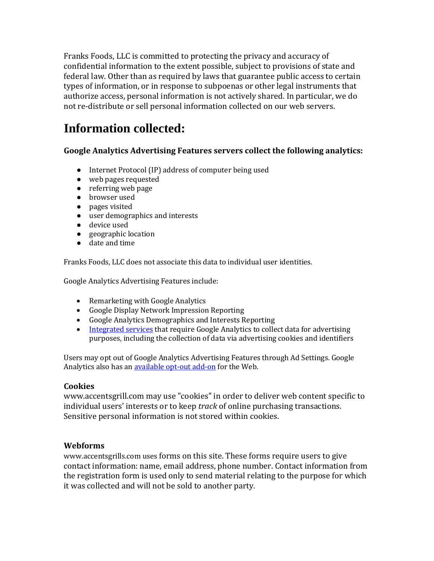Franks Foods, LLC is committed to protecting the privacy and accuracy of confidential information to the extent possible, subject to provisions of state and federal law. Other than as required by laws that guarantee public access to certain types of information, or in response to subpoenas or other legal instruments that authorize access, personal information is not actively shared. In particular, we do not re-distribute or sell personal information collected on our web servers.

## **Information collected:**

#### **Google Analytics Advertising Features servers collect the following analytics:**

- Internet Protocol (IP) address of computer being used
- web pages requested
- referring web page
- browser used
- pages visited
- user demographics and interests
- device used
- geographic location
- date and time

Franks Foods, LLC does not associate this data to individual user identities.

Google Analytics Advertising Features include:

- Remarketing with Google Analytics
- Google Display Network Impression Reporting
- Google Analytics Demographics and Interests Reporting
- [Integrated services](https://support.google.com/analytics/answer/7011855?authuser=4) that require Google Analytics to collect data for advertising purposes, including the collection of data via advertising cookies and identifiers

Users may opt out of Google Analytics Advertising Features through Ad Settings. Google Analytics also has a[n available opt-out add-on](https://tools.google.com/dlpage/gaoptout/) for the Web.

#### **Cookies**

www.accentsgrill.com may use "cookies" in order to deliver web content specific to individual users' interests or to keep *track* of online purchasing transactions. Sensitive personal information is not stored within cookies.

#### **Webforms**

www.accentsgrills.com uses forms on this site. These forms require users to give contact information: name, email address, phone number. Contact information from the registration form is used only to send material relating to the purpose for which it was collected and will not be sold to another party.